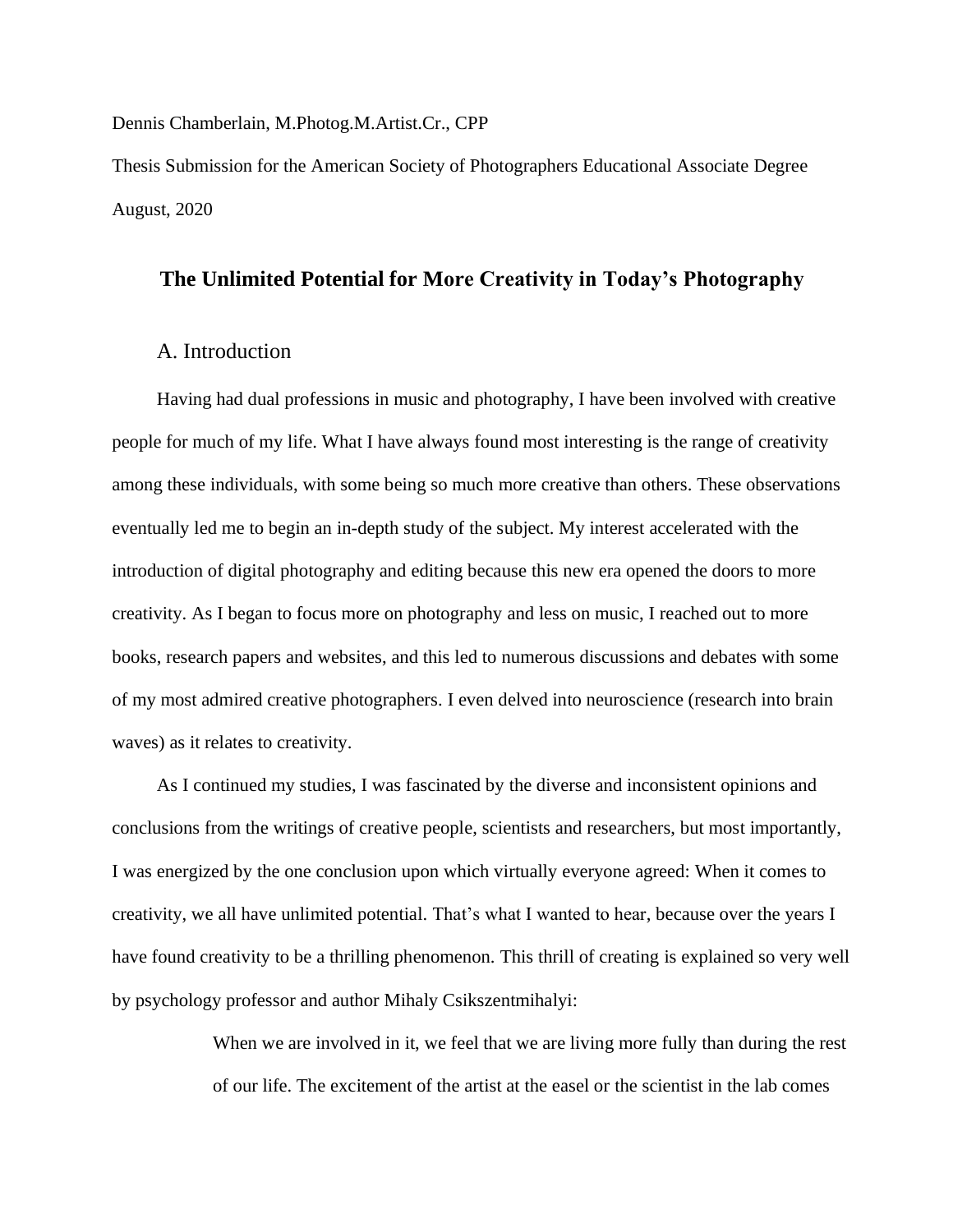#### Dennis Chamberlain, M.Photog.M.Artist.Cr., CPP

Thesis Submission for the American Society of Photographers Educational Associate Degree August, 2020

# **The Unlimited Potential for More Creativity in Today's Photography**

# A. Introduction

Having had dual professions in music and photography, I have been involved with creative people for much of my life. What I have always found most interesting is the range of creativity among these individuals, with some being so much more creative than others. These observations eventually led me to begin an in-depth study of the subject. My interest accelerated with the introduction of digital photography and editing because this new era opened the doors to more creativity. As I began to focus more on photography and less on music, I reached out to more books, research papers and websites, and this led to numerous discussions and debates with some of my most admired creative photographers. I even delved into neuroscience (research into brain waves) as it relates to creativity.

As I continued my studies, I was fascinated by the diverse and inconsistent opinions and conclusions from the writings of creative people, scientists and researchers, but most importantly, I was energized by the one conclusion upon which virtually everyone agreed: When it comes to creativity, we all have unlimited potential. That's what I wanted to hear, because over the years I have found creativity to be a thrilling phenomenon. This thrill of creating is explained so very well by psychology professor and author Mihaly Csikszentmihalyi:

> When we are involved in it, we feel that we are living more fully than during the rest of our life. The excitement of the artist at the easel or the scientist in the lab comes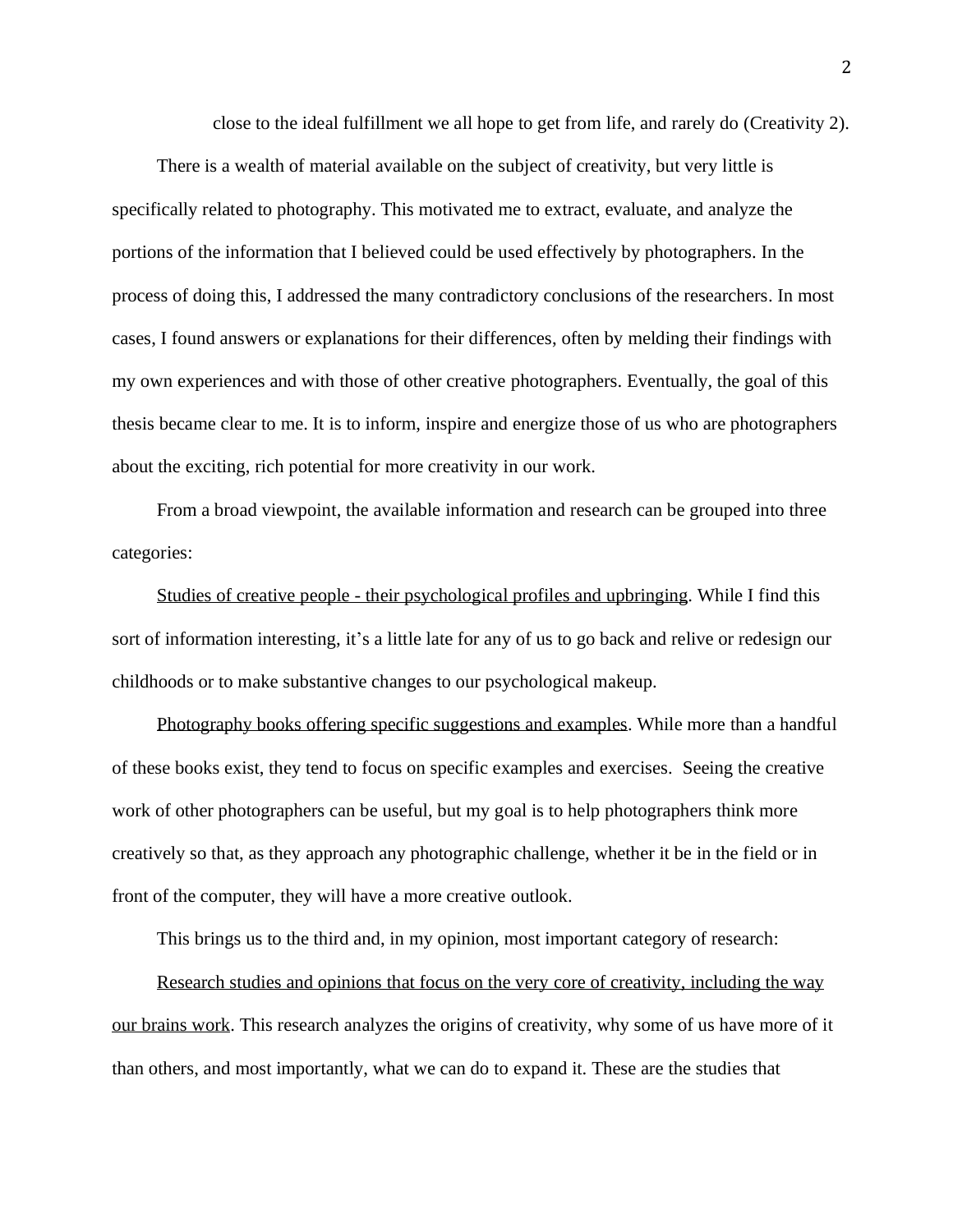close to the ideal fulfillment we all hope to get from life, and rarely do (Creativity 2).

There is a wealth of material available on the subject of creativity, but very little is specifically related to photography. This motivated me to extract, evaluate, and analyze the portions of the information that I believed could be used effectively by photographers. In the process of doing this, I addressed the many contradictory conclusions of the researchers. In most cases, I found answers or explanations for their differences, often by melding their findings with my own experiences and with those of other creative photographers. Eventually, the goal of this thesis became clear to me. It is to inform, inspire and energize those of us who are photographers about the exciting, rich potential for more creativity in our work.

From a broad viewpoint, the available information and research can be grouped into three categories:

Studies of creative people - their psychological profiles and upbringing. While I find this sort of information interesting, it's a little late for any of us to go back and relive or redesign our childhoods or to make substantive changes to our psychological makeup.

Photography books offering specific suggestions and examples. While more than a handful of these books exist, they tend to focus on specific examples and exercises. Seeing the creative work of other photographers can be useful, but my goal is to help photographers think more creatively so that, as they approach any photographic challenge, whether it be in the field or in front of the computer, they will have a more creative outlook.

This brings us to the third and, in my opinion, most important category of research:

Research studies and opinions that focus on the very core of creativity, including the way our brains work. This research analyzes the origins of creativity, why some of us have more of it than others, and most importantly, what we can do to expand it. These are the studies that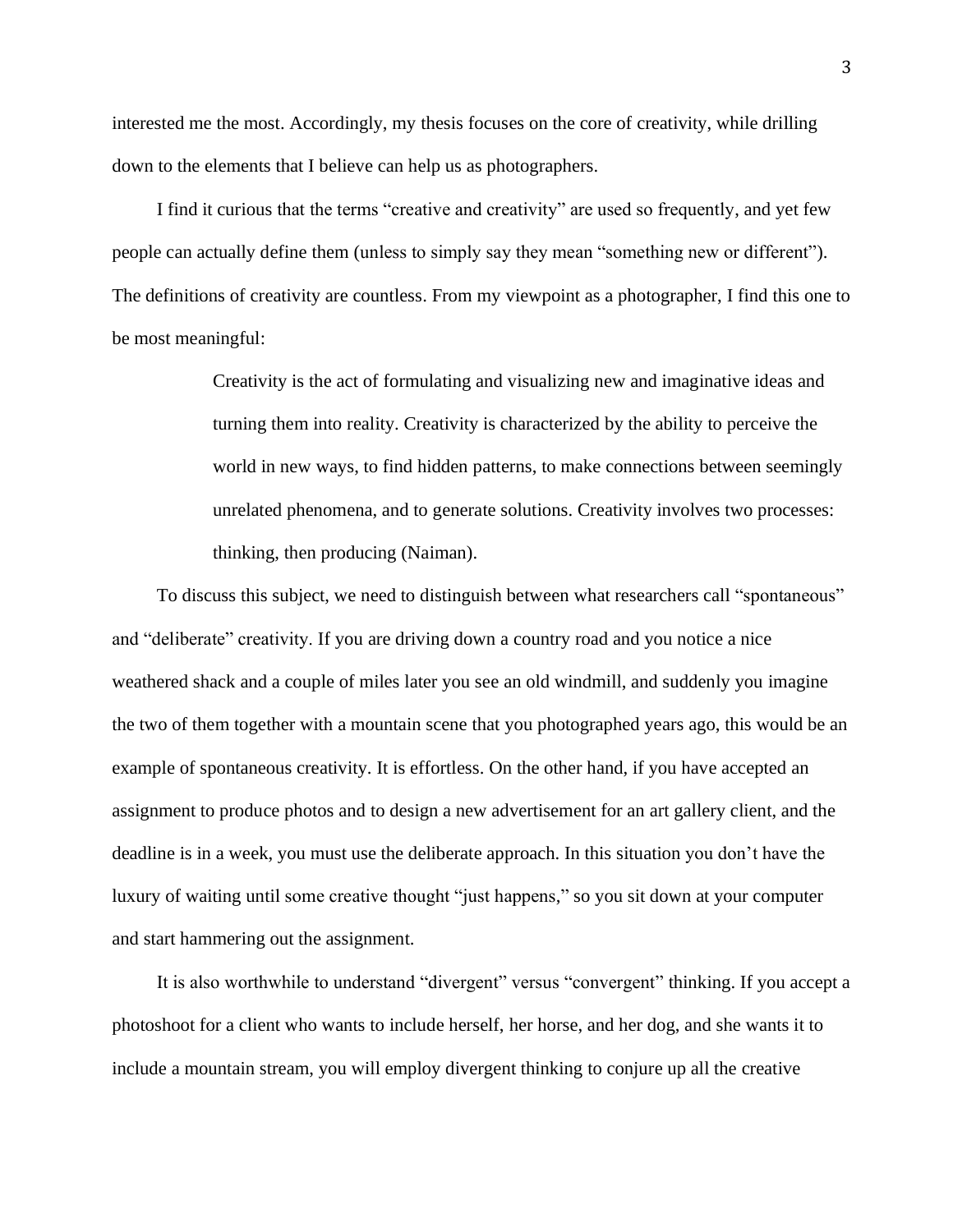interested me the most. Accordingly, my thesis focuses on the core of creativity, while drilling down to the elements that I believe can help us as photographers.

I find it curious that the terms "creative and creativity" are used so frequently, and yet few people can actually define them (unless to simply say they mean "something new or different"). The definitions of creativity are countless. From my viewpoint as a photographer, I find this one to be most meaningful:

> Creativity is the act of formulating and visualizing new and imaginative ideas and turning them into reality. Creativity is characterized by the ability to perceive the world in new ways, to find hidden patterns, to make connections between seemingly unrelated phenomena, and to generate solutions. Creativity involves two processes: thinking, then producing (Naiman).

To discuss this subject, we need to distinguish between what researchers call "spontaneous" and "deliberate" creativity. If you are driving down a country road and you notice a nice weathered shack and a couple of miles later you see an old windmill, and suddenly you imagine the two of them together with a mountain scene that you photographed years ago, this would be an example of spontaneous creativity. It is effortless. On the other hand, if you have accepted an assignment to produce photos and to design a new advertisement for an art gallery client, and the deadline is in a week, you must use the deliberate approach. In this situation you don't have the luxury of waiting until some creative thought "just happens," so you sit down at your computer and start hammering out the assignment.

It is also worthwhile to understand "divergent" versus "convergent" thinking. If you accept a photoshoot for a client who wants to include herself, her horse, and her dog, and she wants it to include a mountain stream, you will employ divergent thinking to conjure up all the creative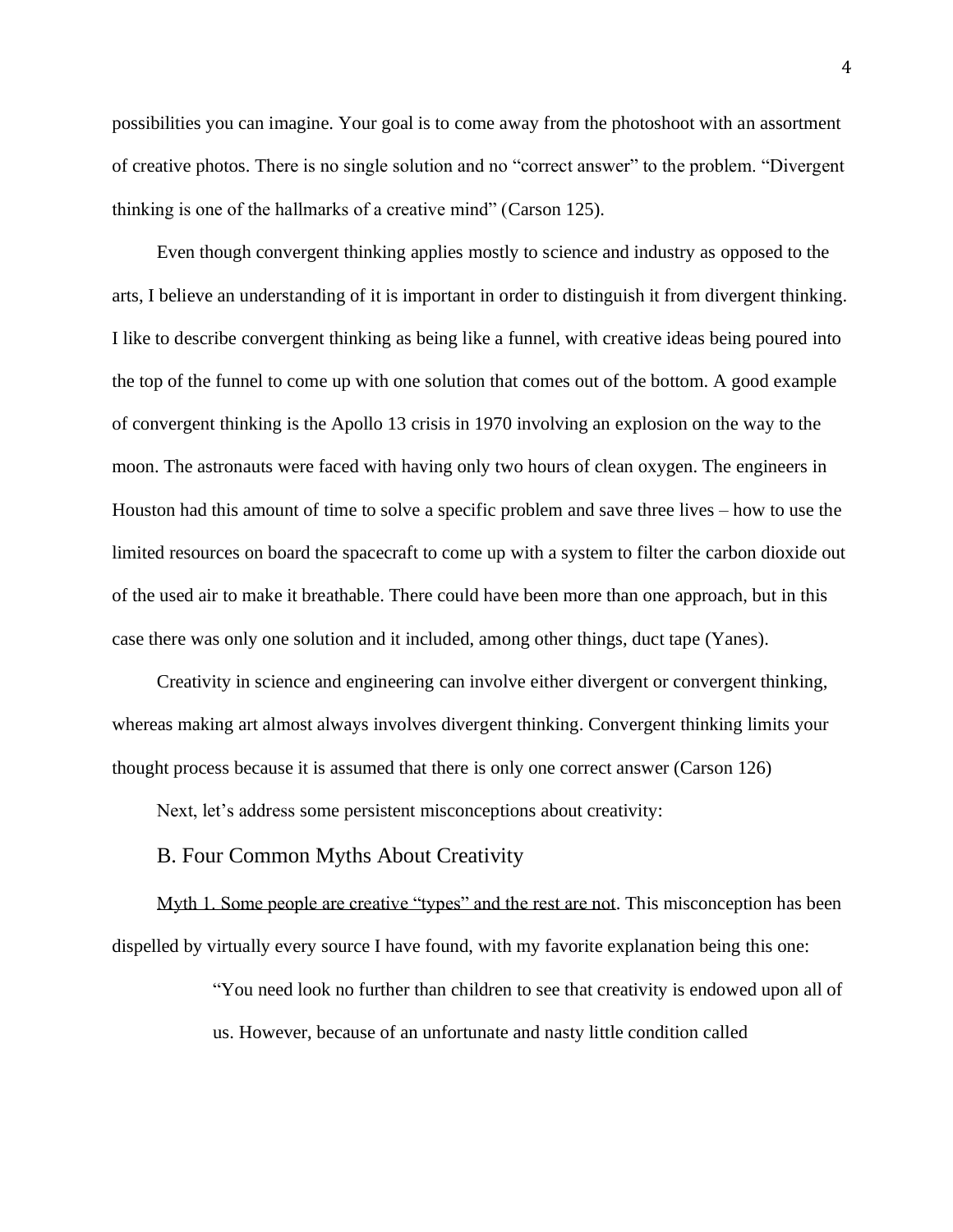possibilities you can imagine. Your goal is to come away from the photoshoot with an assortment of creative photos. There is no single solution and no "correct answer" to the problem. "Divergent thinking is one of the hallmarks of a creative mind" (Carson 125).

Even though convergent thinking applies mostly to science and industry as opposed to the arts, I believe an understanding of it is important in order to distinguish it from divergent thinking. I like to describe convergent thinking as being like a funnel, with creative ideas being poured into the top of the funnel to come up with one solution that comes out of the bottom. A good example of convergent thinking is the Apollo 13 crisis in 1970 involving an explosion on the way to the moon. The astronauts were faced with having only two hours of clean oxygen. The engineers in Houston had this amount of time to solve a specific problem and save three lives – how to use the limited resources on board the spacecraft to come up with a system to filter the carbon dioxide out of the used air to make it breathable. There could have been more than one approach, but in this case there was only one solution and it included, among other things, duct tape (Yanes).

Creativity in science and engineering can involve either divergent or convergent thinking, whereas making art almost always involves divergent thinking. Convergent thinking limits your thought process because it is assumed that there is only one correct answer (Carson 126)

Next, let's address some persistent misconceptions about creativity:

### B. Four Common Myths About Creativity

Myth 1. Some people are creative "types" and the rest are not. This misconception has been dispelled by virtually every source I have found, with my favorite explanation being this one:

> "You need look no further than [children to see that creativity](https://www.inc.com/peter-gasca/encouraging-creativity-requires-tapping-into-this-single-shared-skill.html) is endowed upon all of us. However, because of an unfortunate and nasty little condition called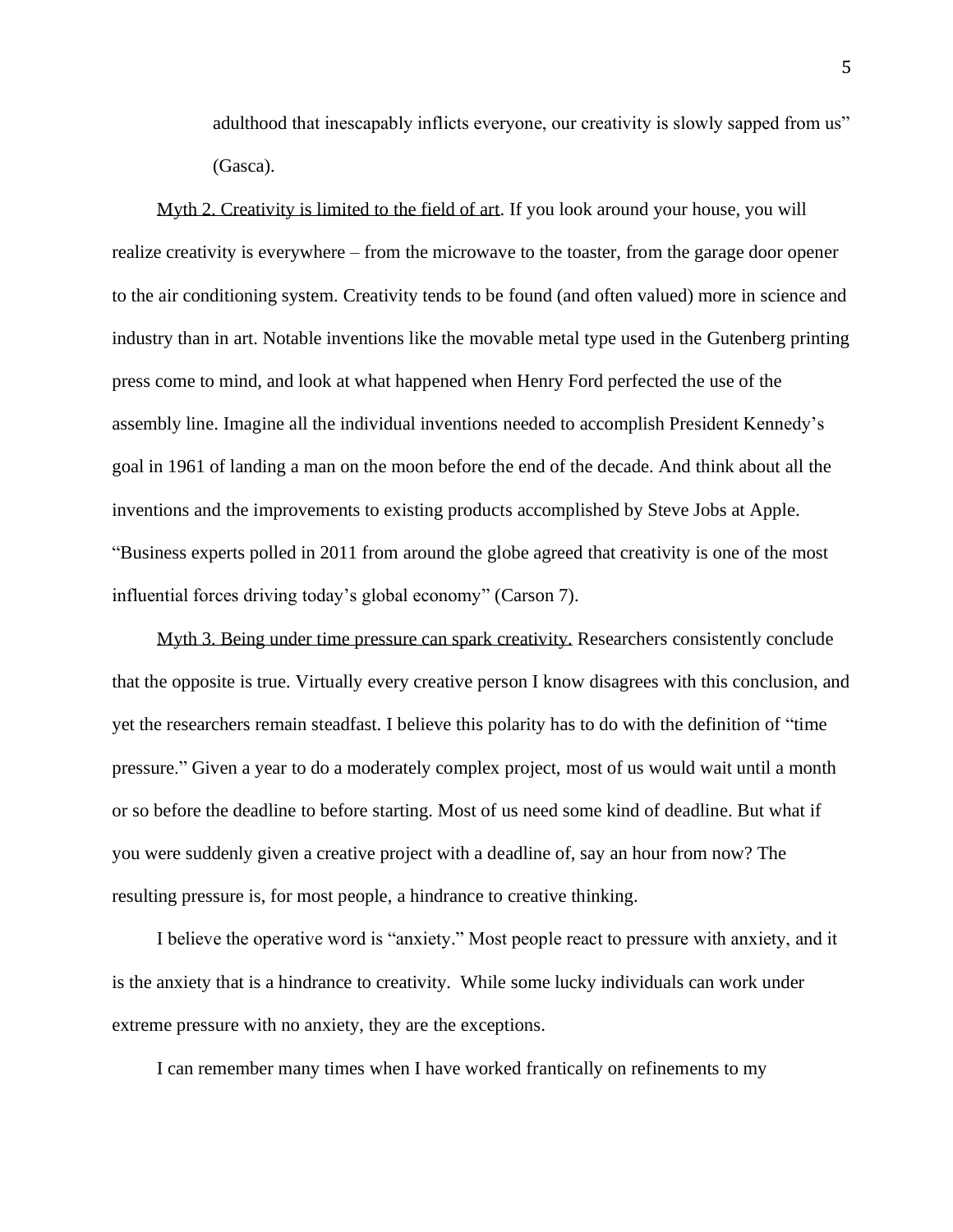adulthood that inescapably inflicts everyone, our creativity is slowly sapped from us" (Gasca).

Myth 2. Creativity is limited to the field of art. If you look around your house, you will realize creativity is everywhere – from the microwave to the toaster, from the garage door opener to the air conditioning system. Creativity tends to be found (and often valued) more in science and industry than in art. Notable inventions like the movable metal type used in the Gutenberg printing press come to mind, and look at what happened when Henry Ford perfected the use of the assembly line. Imagine all the individual inventions needed to accomplish President Kennedy's goal in 1961 of landing a man on the moon before the end of the decade. And think about all the inventions and the improvements to existing products accomplished by Steve Jobs at Apple. "Business experts polled in 2011 from around the globe agreed that creativity is one of the most influential forces driving today's global economy" (Carson 7).

Myth 3. Being under time pressure can spark creativity. Researchers consistently conclude that the opposite is true. Virtually every creative person I know disagrees with this conclusion, and yet the researchers remain steadfast. I believe this polarity has to do with the definition of "time pressure." Given a year to do a moderately complex project, most of us would wait until a month or so before the deadline to before starting. Most of us need some kind of deadline. But what if you were suddenly given a creative project with a deadline of, say an hour from now? The resulting pressure is, for most people, a hindrance to creative thinking.

I believe the operative word is "anxiety." Most people react to pressure with anxiety, and it is the anxiety that is a hindrance to creativity. While some lucky individuals can work under extreme pressure with no anxiety, they are the exceptions.

I can remember many times when I have worked frantically on refinements to my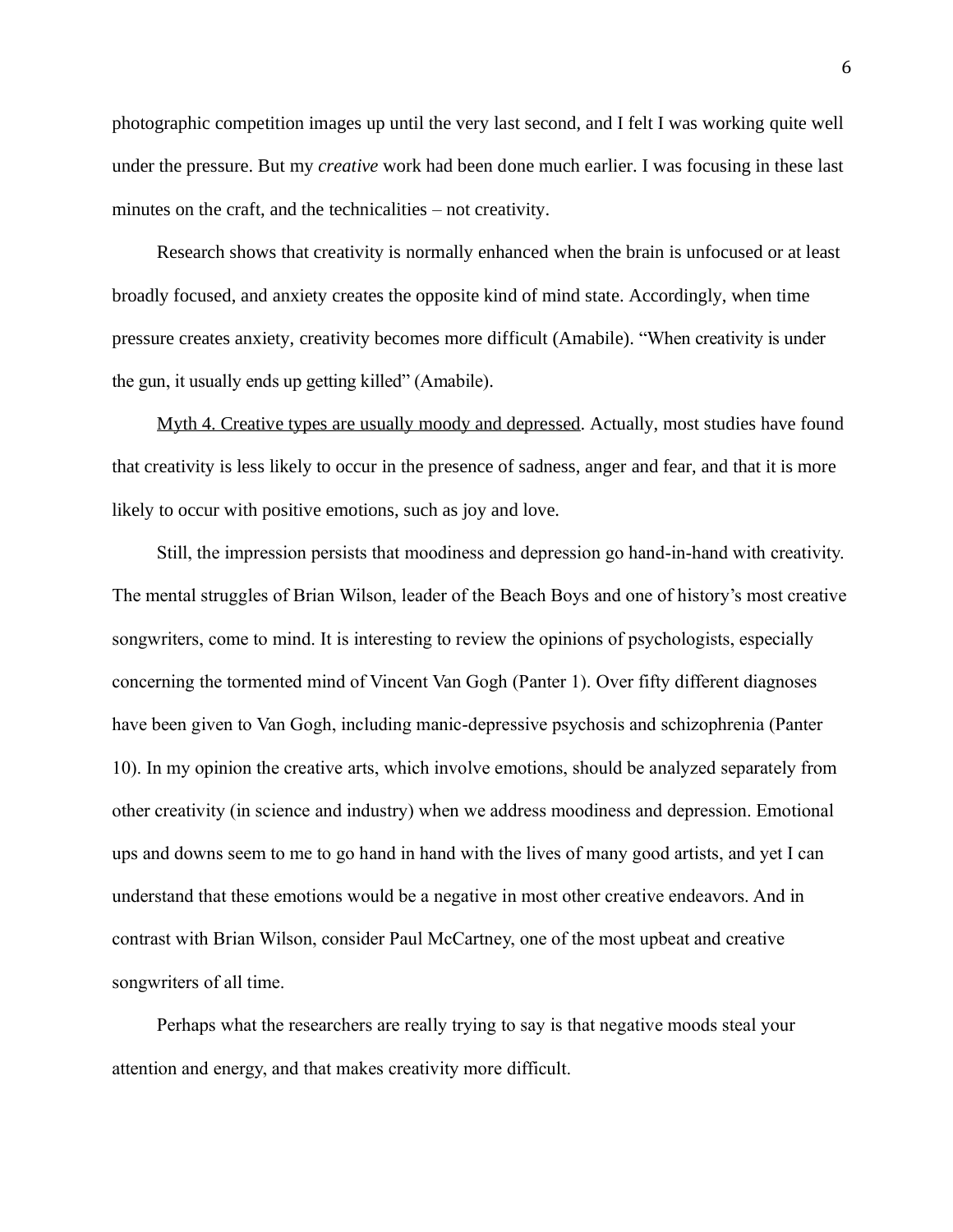photographic competition images up until the very last second, and I felt I was working quite well under the pressure. But my *creative* work had been done much earlier. I was focusing in these last minutes on the craft, and the technicalities – not creativity.

Research shows that creativity is normally enhanced when the brain is unfocused or at least broadly focused, and anxiety creates the opposite kind of mind state. Accordingly, when time pressure creates anxiety, creativity becomes more difficult (Amabile). "When creativity is under the gun, it usually ends up getting killed" (Amabile).

Myth 4. Creative types are usually moody and depressed. Actually, most studies have found that creativity is less likely to occur in the presence of sadness, anger and fear, and that it is more likely to occur with positive emotions, such as joy and love.

Still, the impression persists that moodiness and depression go hand-in-hand with creativity. The mental struggles of Brian Wilson, leader of the Beach Boys and one of history's most creative songwriters, come to mind. It is interesting to review the opinions of psychologists, especially concerning the tormented mind of Vincent Van Gogh (Panter 1). Over fifty different diagnoses have been given to Van Gogh, including manic-depressive psychosis and schizophrenia (Panter 10). In my opinion the creative arts, which involve emotions, should be analyzed separately from other creativity (in science and industry) when we address moodiness and depression. Emotional ups and downs seem to me to go hand in hand with the lives of many good artists, and yet I can understand that these emotions would be a negative in most other creative endeavors. And in contrast with Brian Wilson, consider Paul McCartney, one of the most upbeat and creative songwriters of all time.

Perhaps what the researchers are really trying to say is that negative moods steal your attention and energy, and that makes creativity more difficult.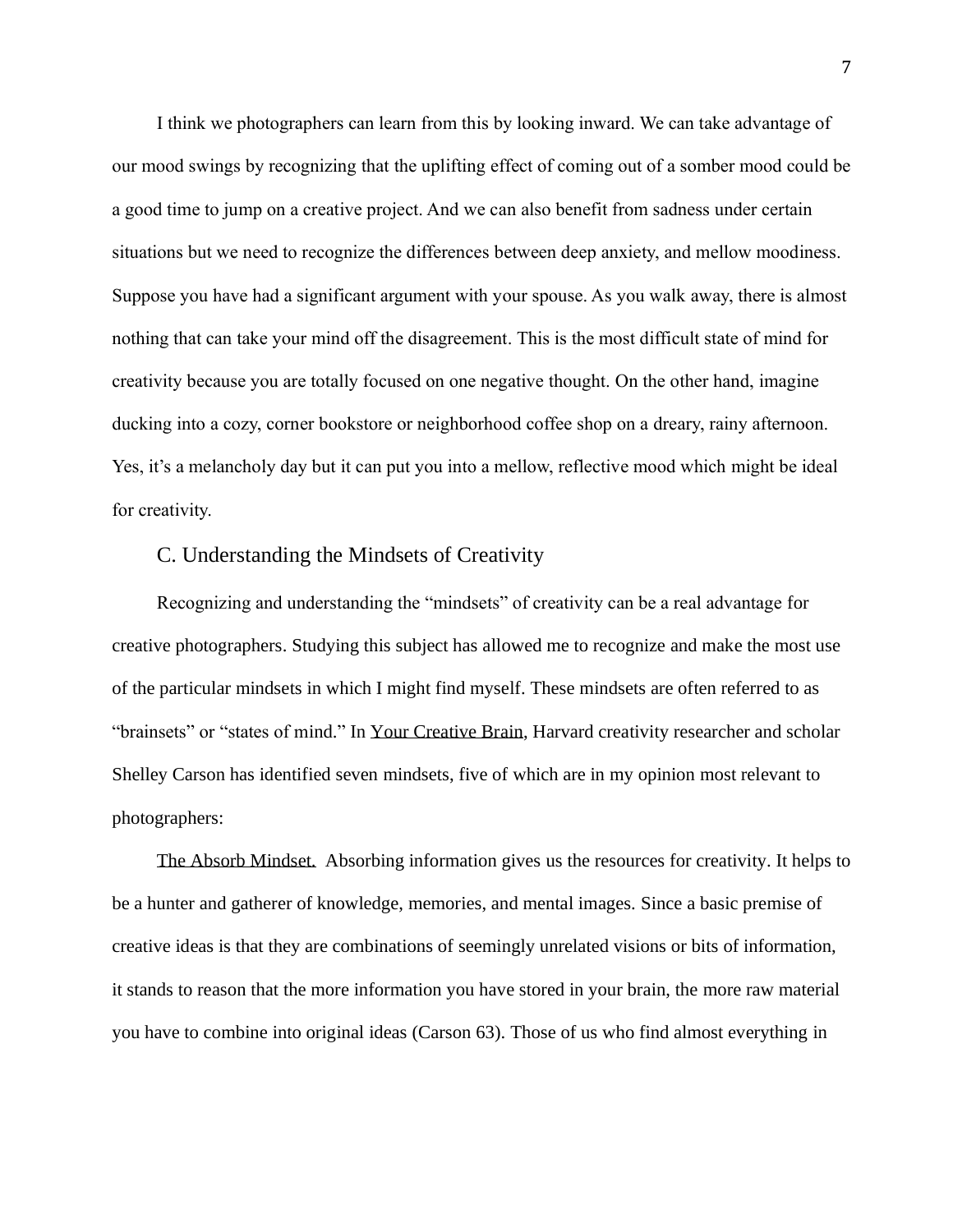I think we photographers can learn from this by looking inward. We can take advantage of our mood swings by recognizing that the uplifting effect of coming out of a somber mood could be a good time to jump on a creative project. And we can also benefit from sadness under certain situations but we need to recognize the differences between deep anxiety, and mellow moodiness. Suppose you have had a significant argument with your spouse. As you walk away, there is almost nothing that can take your mind off the disagreement. This is the most difficult state of mind for creativity because you are totally focused on one negative thought. On the other hand, imagine ducking into a cozy, corner bookstore or neighborhood coffee shop on a dreary, rainy afternoon. Yes, it's a melancholy day but it can put you into a mellow, reflective mood which might be ideal for creativity.

## C. Understanding the Mindsets of Creativity

Recognizing and understanding the "mindsets" of creativity can be a real advantage for creative photographers. Studying this subject has allowed me to recognize and make the most use of the particular mindsets in which I might find myself. These mindsets are often referred to as "brainsets" or "states of mind." In Your Creative Brain, Harvard creativity researcher and scholar Shelley Carson has identified seven mindsets, five of which are in my opinion most relevant to photographers:

The Absorb Mindset. Absorbing information gives us the resources for creativity. It helps to be a hunter and gatherer of knowledge, memories, and mental images. Since a basic premise of creative ideas is that they are combinations of seemingly unrelated visions or bits of information, it stands to reason that the more information you have stored in your brain, the more raw material you have to combine into original ideas (Carson 63). Those of us who find almost everything in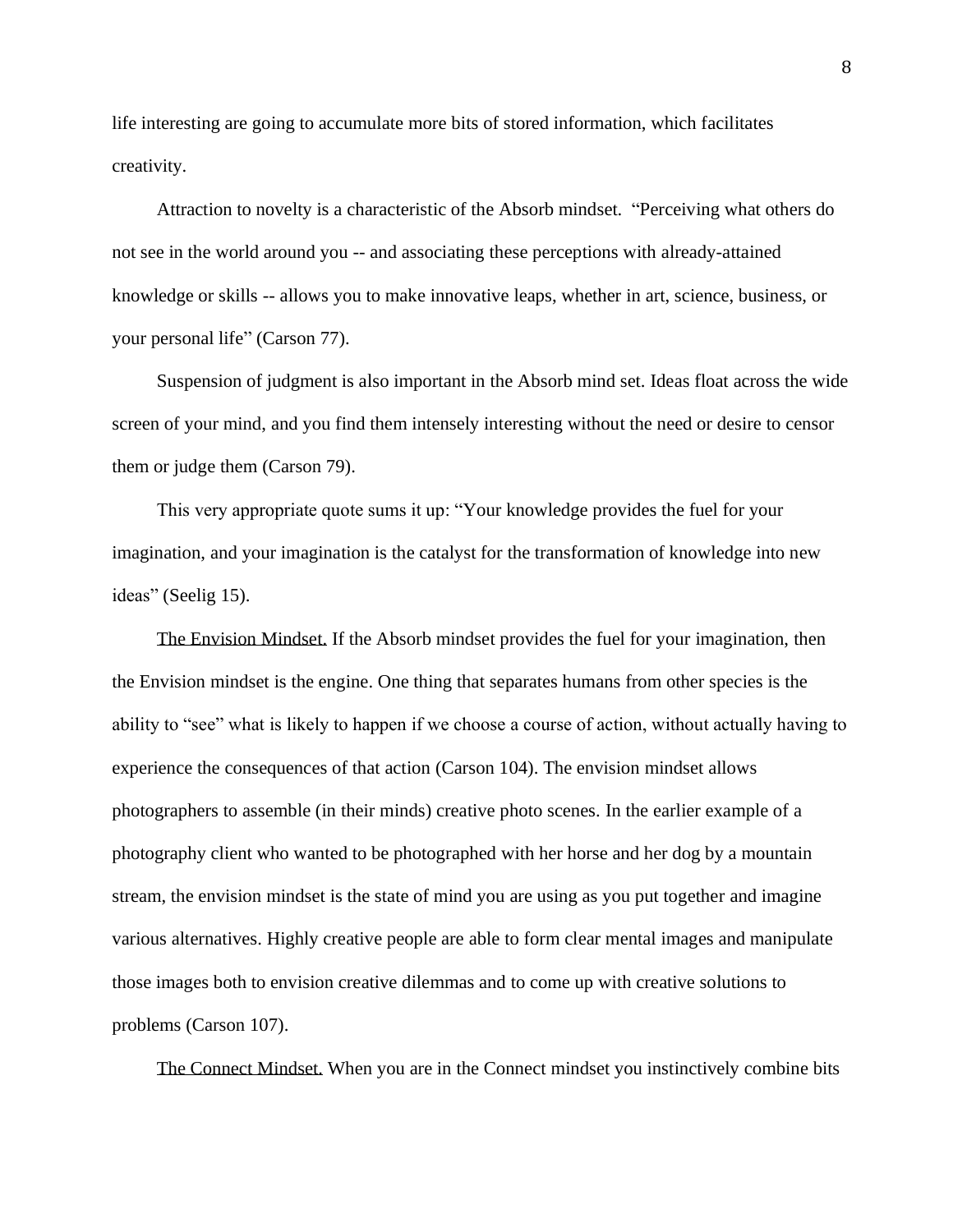life interesting are going to accumulate more bits of stored information, which facilitates creativity.

Attraction to novelty is a characteristic of the Absorb mindset. "Perceiving what others do not see in the world around you -- and associating these perceptions with already-attained knowledge or skills -- allows you to make innovative leaps, whether in art, science, business, or your personal life" (Carson 77).

Suspension of judgment is also important in the Absorb mind set. Ideas float across the wide screen of your mind, and you find them intensely interesting without the need or desire to censor them or judge them (Carson 79).

This very appropriate quote sums it up: "Your knowledge provides the fuel for your imagination, and your imagination is the catalyst for the transformation of knowledge into new ideas" (Seelig 15).

The Envision Mindset. If the Absorb mindset provides the fuel for your imagination, then the Envision mindset is the engine. One thing that separates humans from other species is the ability to "see" what is likely to happen if we choose a course of action, without actually having to experience the consequences of that action (Carson 104). The envision mindset allows photographers to assemble (in their minds) creative photo scenes. In the earlier example of a photography client who wanted to be photographed with her horse and her dog by a mountain stream, the envision mindset is the state of mind you are using as you put together and imagine various alternatives. Highly creative people are able to form clear mental images and manipulate those images both to envision creative dilemmas and to come up with creative solutions to problems (Carson 107).

The Connect Mindset. When you are in the Connect mindset you instinctively combine bits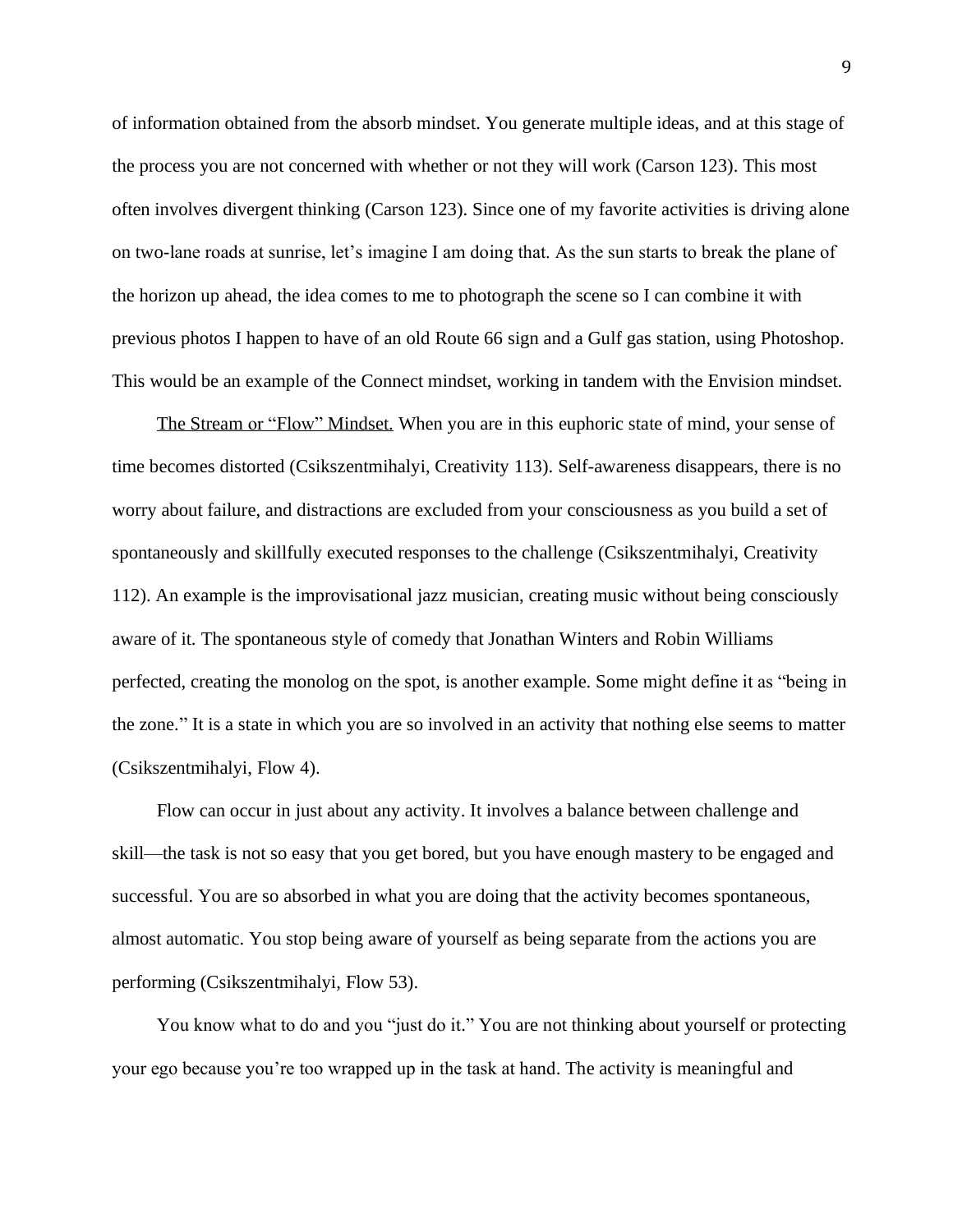of information obtained from the absorb mindset. You generate multiple ideas, and at this stage of the process you are not concerned with whether or not they will work (Carson 123). This most often involves divergent thinking (Carson 123). Since one of my favorite activities is driving alone on two-lane roads at sunrise, let's imagine I am doing that. As the sun starts to break the plane of the horizon up ahead, the idea comes to me to photograph the scene so I can combine it with previous photos I happen to have of an old Route 66 sign and a Gulf gas station, using Photoshop. This would be an example of the Connect mindset, working in tandem with the Envision mindset.

The Stream or "Flow" Mindset. When you are in this euphoric state of mind, your sense of time becomes distorted (Csikszentmihalyi, Creativity 113). Self-awareness disappears, there is no worry about failure, and distractions are excluded from your consciousness as you build a set of spontaneously and skillfully executed responses to the challenge (Csikszentmihalyi, Creativity 112). An example is the improvisational jazz musician, creating music without being consciously aware of it. The spontaneous style of comedy that Jonathan Winters and Robin Williams perfected, creating the monolog on the spot, is another example. Some might define it as "being in the zone." It is a state in which you are so involved in an activity that nothing else seems to matter (Csikszentmihalyi, Flow 4).

Flow can occur in just about any activity. It involves a balance between challenge and skill—the task is not so easy that you get bored, but you have enough mastery to be engaged and successful. You are so absorbed in what you are doing that the activity becomes spontaneous, almost automatic. You stop being aware of yourself as being separate from the actions you are performing (Csikszentmihalyi, Flow 53).

You know what to do and you "just do it." You are not thinking about yourself or protecting your ego because you're too wrapped up in the task at hand. The activity is meaningful and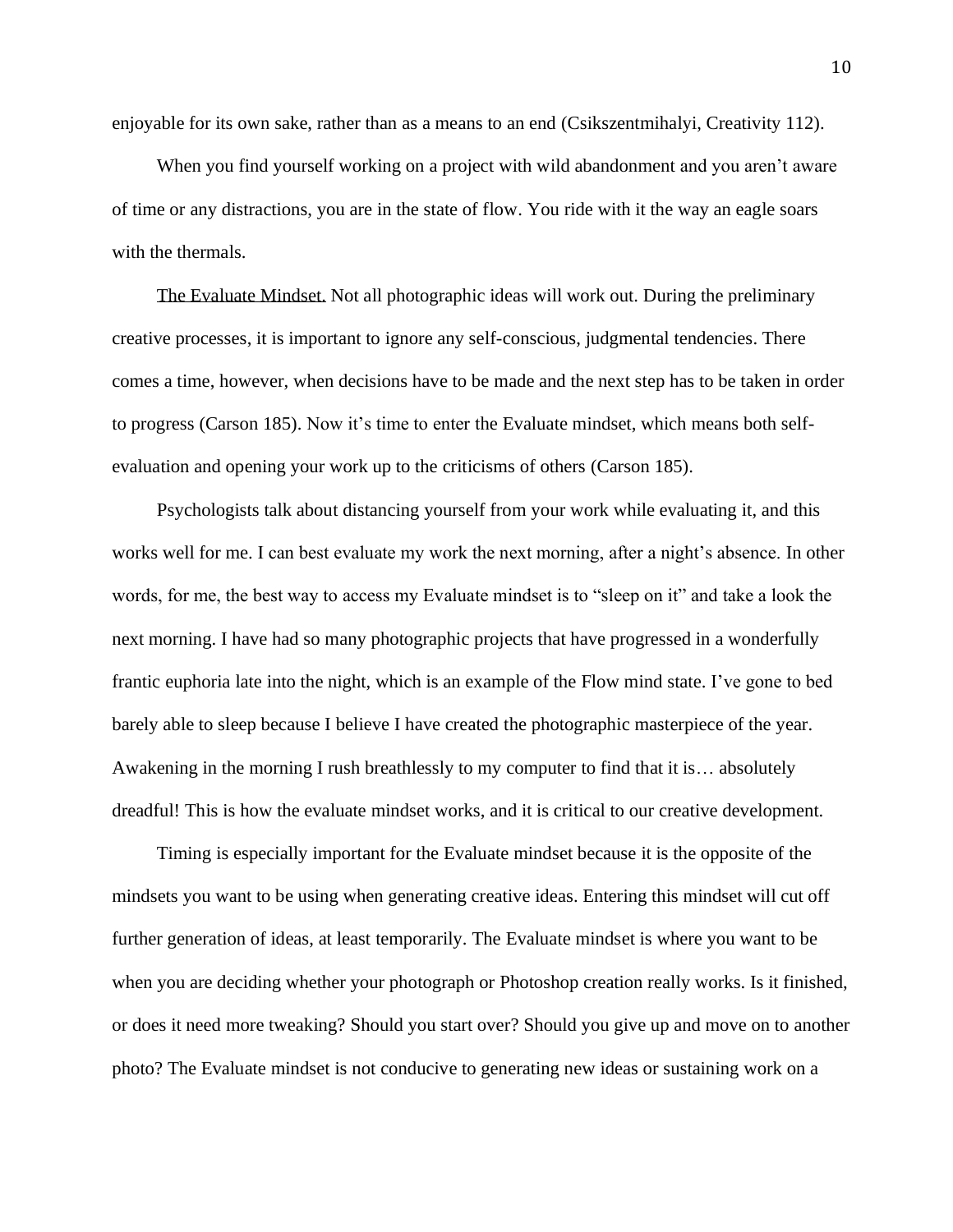enjoyable for its own sake, rather than as a means to an end (Csikszentmihalyi, Creativity 112).

When you find yourself working on a project with wild abandonment and you aren't aware of time or any distractions, you are in the state of flow. You ride with it the way an eagle soars with the thermals.

The Evaluate Mindset. Not all photographic ideas will work out. During the preliminary creative processes, it is important to ignore any self-conscious, judgmental tendencies. There comes a time, however, when decisions have to be made and the next step has to be taken in order to progress (Carson 185). Now it's time to enter the Evaluate mindset, which means both selfevaluation and opening your work up to the criticisms of others (Carson 185).

Psychologists talk about distancing yourself from your work while evaluating it, and this works well for me. I can best evaluate my work the next morning, after a night's absence. In other words, for me, the best way to access my Evaluate mindset is to "sleep on it" and take a look the next morning. I have had so many photographic projects that have progressed in a wonderfully frantic euphoria late into the night, which is an example of the Flow mind state. I've gone to bed barely able to sleep because I believe I have created the photographic masterpiece of the year. Awakening in the morning I rush breathlessly to my computer to find that it is… absolutely dreadful! This is how the evaluate mindset works, and it is critical to our creative development.

Timing is especially important for the Evaluate mindset because it is the opposite of the mindsets you want to be using when generating creative ideas. Entering this mindset will cut off further generation of ideas, at least temporarily. The Evaluate mindset is where you want to be when you are deciding whether your photograph or Photoshop creation really works. Is it finished, or does it need more tweaking? Should you start over? Should you give up and move on to another photo? The Evaluate mindset is not conducive to generating new ideas or sustaining work on a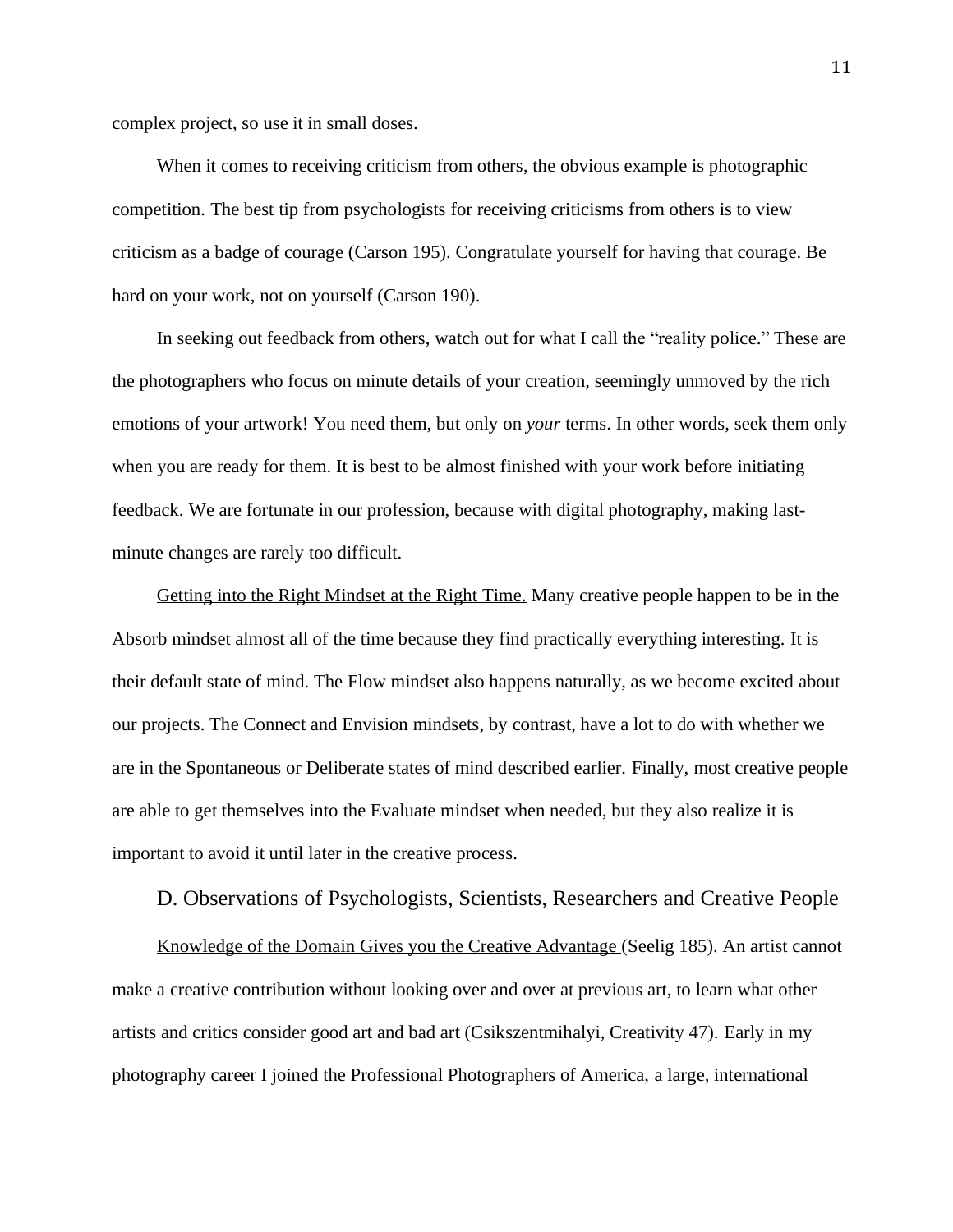complex project, so use it in small doses.

When it comes to receiving criticism from others, the obvious example is photographic competition. The best tip from psychologists for receiving criticisms from others is to view criticism as a badge of courage (Carson 195). Congratulate yourself for having that courage. Be hard on your work, not on yourself (Carson 190).

In seeking out feedback from others, watch out for what I call the "reality police." These are the photographers who focus on minute details of your creation, seemingly unmoved by the rich emotions of your artwork! You need them, but only on *your* terms. In other words, seek them only when you are ready for them. It is best to be almost finished with your work before initiating feedback. We are fortunate in our profession, because with digital photography, making lastminute changes are rarely too difficult.

Getting into the Right Mindset at the Right Time. Many creative people happen to be in the Absorb mindset almost all of the time because they find practically everything interesting. It is their default state of mind. The Flow mindset also happens naturally, as we become excited about our projects. The Connect and Envision mindsets, by contrast, have a lot to do with whether we are in the Spontaneous or Deliberate states of mind described earlier. Finally, most creative people are able to get themselves into the Evaluate mindset when needed, but they also realize it is important to avoid it until later in the creative process.

D. Observations of Psychologists, Scientists, Researchers and Creative People

Knowledge of the Domain Gives you the Creative Advantage (Seelig 185). An artist cannot make a creative contribution without looking over and over at previous art, to learn what other artists and critics consider good art and bad art (Csikszentmihalyi, Creativity 47). Early in my photography career I joined the Professional Photographers of America, a large, international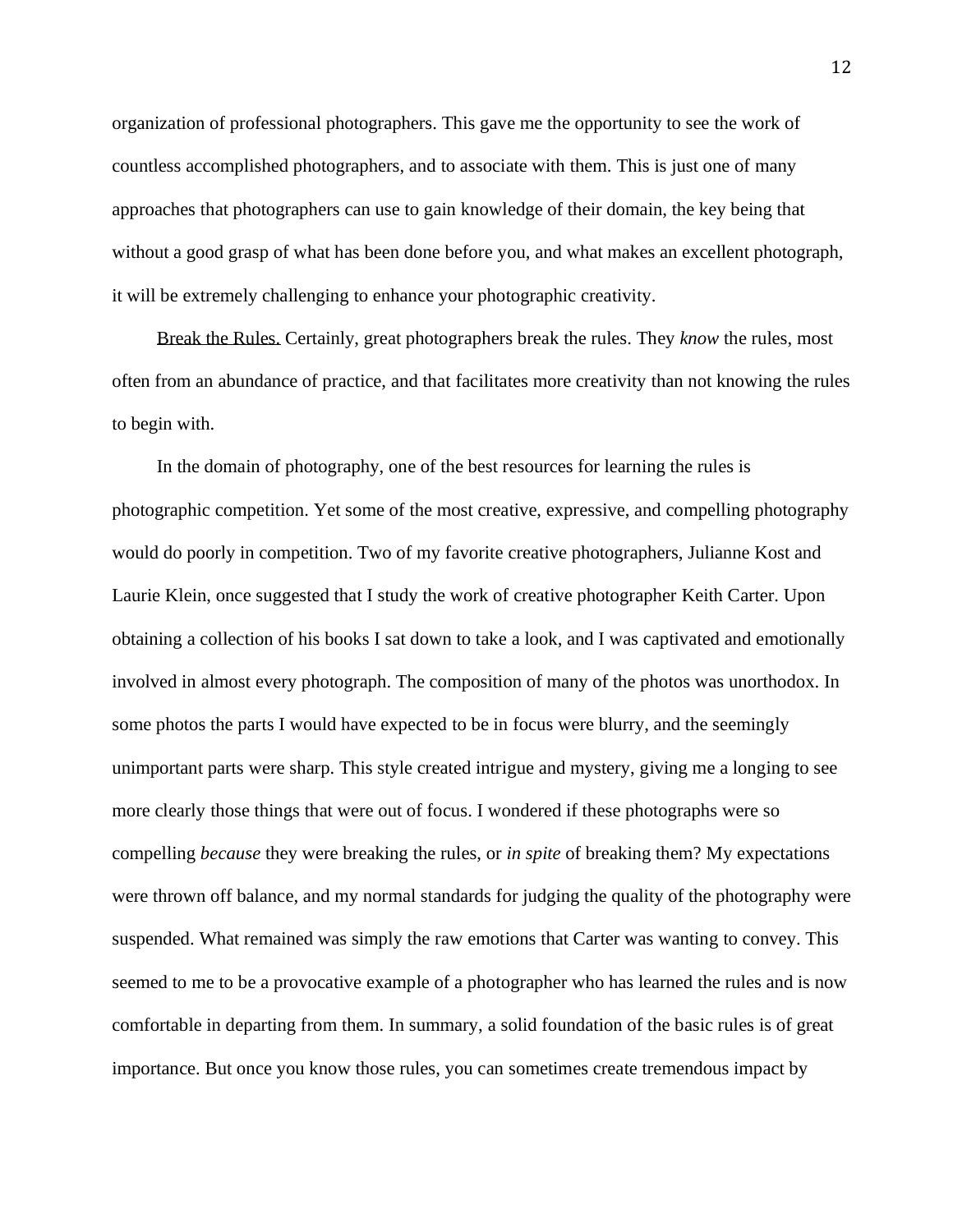organization of professional photographers. This gave me the opportunity to see the work of countless accomplished photographers, and to associate with them. This is just one of many approaches that photographers can use to gain knowledge of their domain, the key being that without a good grasp of what has been done before you, and what makes an excellent photograph, it will be extremely challenging to enhance your photographic creativity.

Break the Rules. Certainly, great photographers break the rules. They *know* the rules, most often from an abundance of practice, and that facilitates more creativity than not knowing the rules to begin with.

In the domain of photography, one of the best resources for learning the rules is photographic competition. Yet some of the most creative, expressive, and compelling photography would do poorly in competition. Two of my favorite creative photographers, Julianne Kost and Laurie Klein, once suggested that I study the work of creative photographer Keith Carter. Upon obtaining a collection of his books I sat down to take a look, and I was captivated and emotionally involved in almost every photograph. The composition of many of the photos was unorthodox. In some photos the parts I would have expected to be in focus were blurry, and the seemingly unimportant parts were sharp. This style created intrigue and mystery, giving me a longing to see more clearly those things that were out of focus. I wondered if these photographs were so compelling *because* they were breaking the rules, or *in spite* of breaking them? My expectations were thrown off balance, and my normal standards for judging the quality of the photography were suspended. What remained was simply the raw emotions that Carter was wanting to convey. This seemed to me to be a provocative example of a photographer who has learned the rules and is now comfortable in departing from them. In summary, a solid foundation of the basic rules is of great importance. But once you know those rules, you can sometimes create tremendous impact by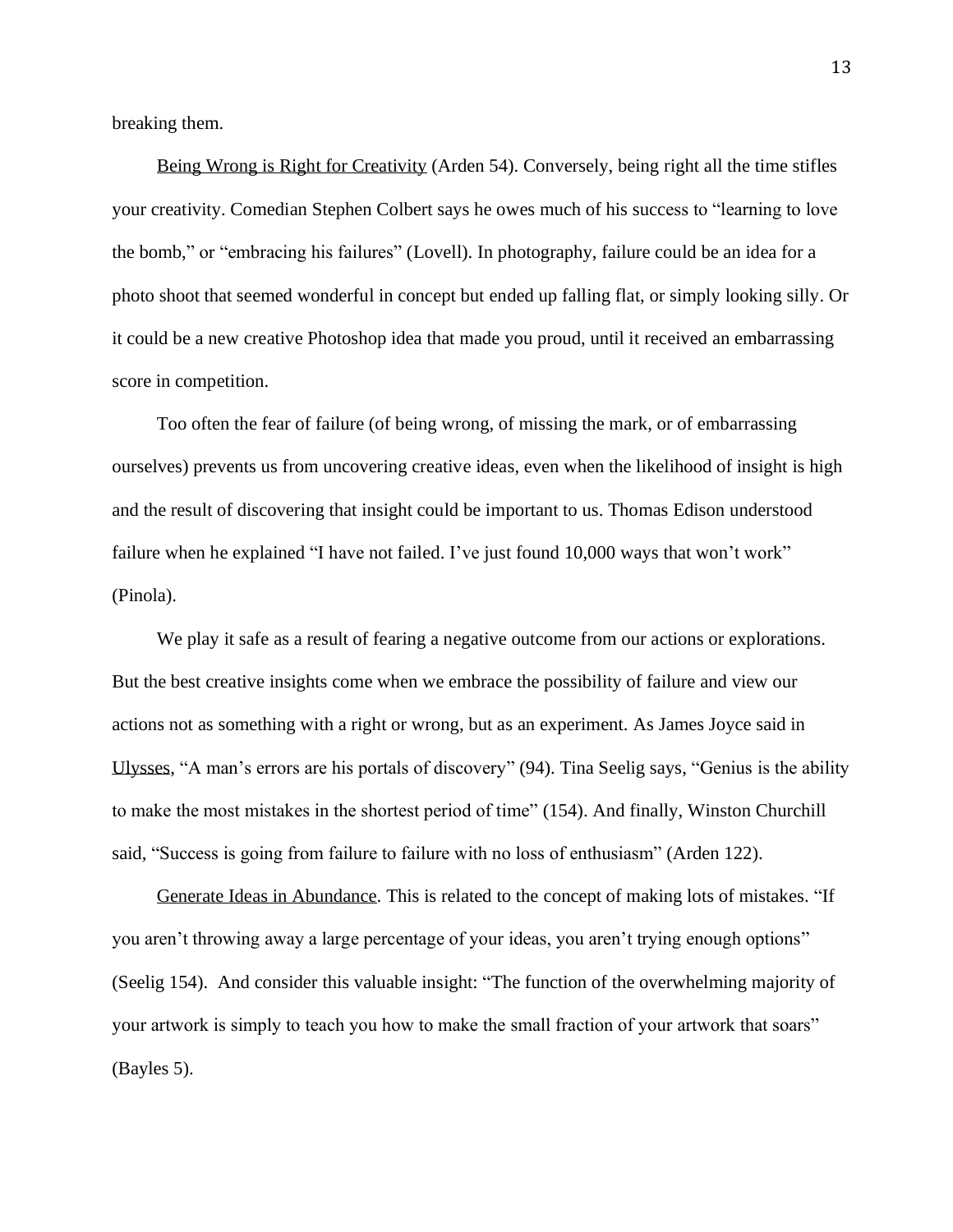breaking them.

Being Wrong is Right for Creativity (Arden 54). Conversely, being right all the time stifles your creativity. Comedian Stephen Colbert says he owes much of his success to "learning to love the bomb," or "embracing his failures" (Lovell). In photography, failure could be an idea for a photo shoot that seemed wonderful in concept but ended up falling flat, or simply looking silly. Or it could be a new creative Photoshop idea that made you proud, until it received an embarrassing score in competition.

Too often the fear of failure (of being wrong, of missing the mark, or of embarrassing ourselves) prevents us from uncovering creative ideas, even when the likelihood of insight is high and the result of discovering that insight could be important to us. Thomas Edison understood failure when he explained "I have not failed. I've just found 10,000 ways that won't work" (Pinola).

We play it safe as a result of fearing a negative outcome from our actions or explorations. But the best creative insights come when we embrace the possibility of failure and view our actions not as something with a right or wrong, but as an experiment. As James Joyce said in Ulysses, "A man's errors are his portals of discovery" (94). Tina Seelig says, "Genius is the ability to make the most mistakes in the shortest period of time" (154). And finally, Winston Churchill said, "Success is going from failure to failure with no loss of enthusiasm" (Arden 122).

Generate Ideas in Abundance. This is related to the concept of making lots of mistakes. "If you aren't throwing away a large percentage of your ideas, you aren't trying enough options" (Seelig 154). And consider this valuable insight: "The function of the overwhelming majority of your artwork is simply to teach you how to make the small fraction of your artwork that soars" (Bayles 5).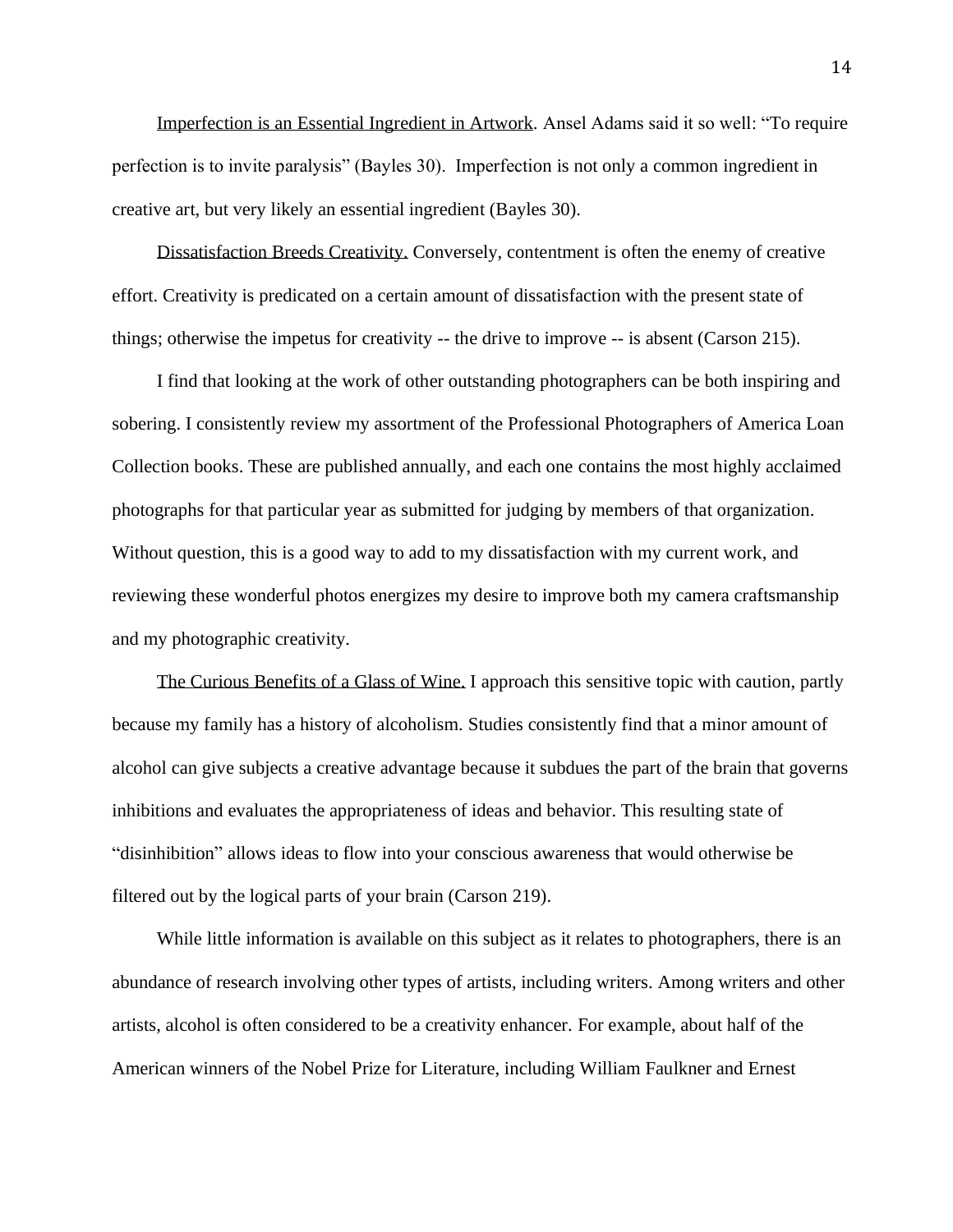Imperfection is an Essential Ingredient in Artwork. Ansel Adams said it so well: "To require perfection is to invite paralysis" (Bayles 30). Imperfection is not only a common ingredient in creative art, but very likely an essential ingredient (Bayles 30).

Dissatisfaction Breeds Creativity. Conversely, contentment is often the enemy of creative effort. Creativity is predicated on a certain amount of dissatisfaction with the present state of things; otherwise the impetus for creativity -- the drive to improve -- is absent (Carson 215).

I find that looking at the work of other outstanding photographers can be both inspiring and sobering. I consistently review my assortment of the Professional Photographers of America Loan Collection books. These are published annually, and each one contains the most highly acclaimed photographs for that particular year as submitted for judging by members of that organization. Without question, this is a good way to add to my dissatisfaction with my current work, and reviewing these wonderful photos energizes my desire to improve both my camera craftsmanship and my photographic creativity.

The Curious Benefits of a Glass of Wine. I approach this sensitive topic with caution, partly because my family has a history of alcoholism. Studies consistently find that a minor amount of alcohol can give subjects a creative advantage because it subdues the part of the brain that governs inhibitions and evaluates the appropriateness of ideas and behavior. This resulting state of "disinhibition" allows ideas to flow into your conscious awareness that would otherwise be filtered out by the logical parts of your brain (Carson 219).

While little information is available on this subject as it relates to photographers, there is an abundance of research involving other types of artists, including writers. Among writers and other artists, alcohol is often considered to be a creativity enhancer. For example, about half of the American winners of the Nobel Prize for Literature, including William Faulkner and Ernest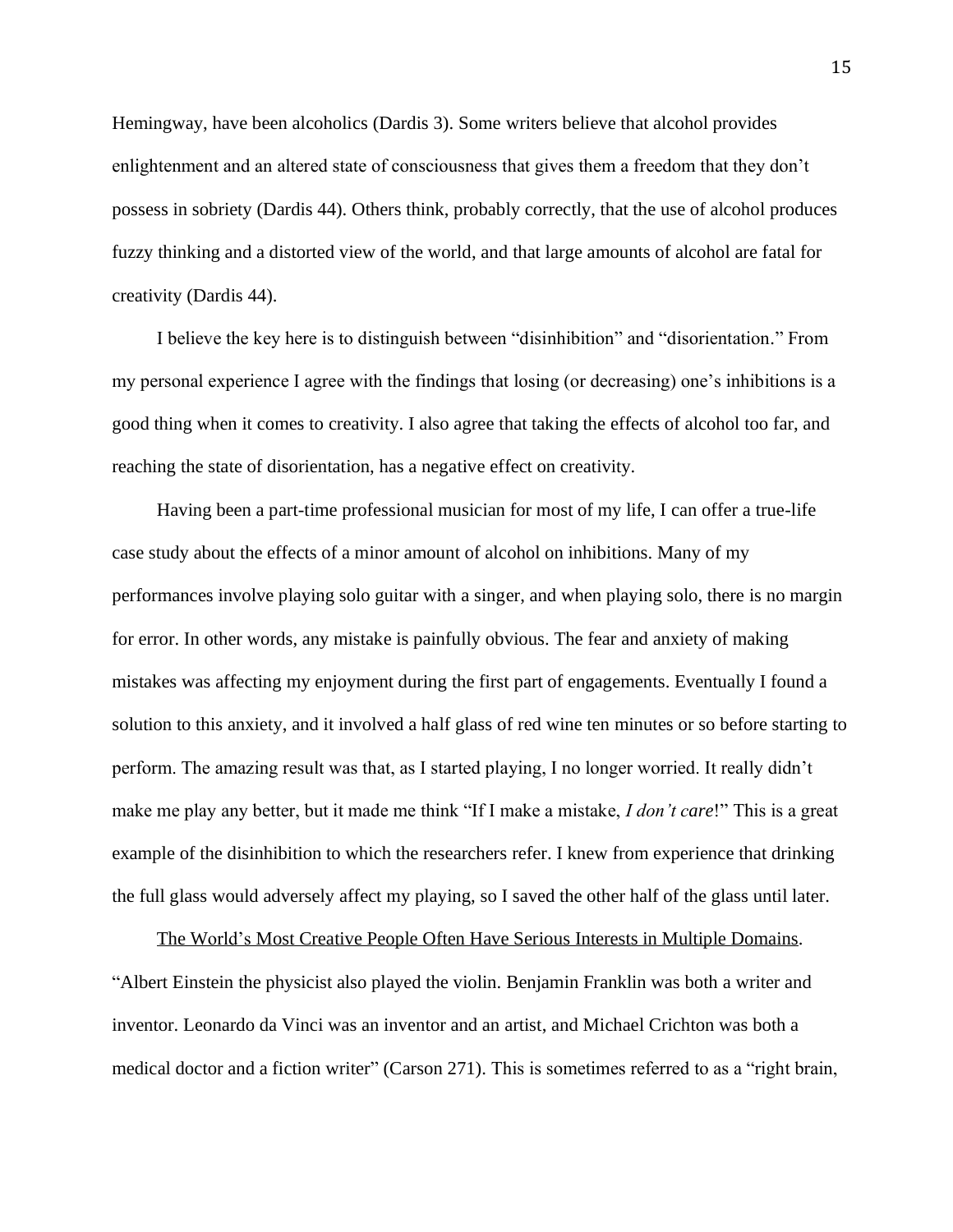Hemingway, have been alcoholics (Dardis 3). Some writers believe that alcohol provides enlightenment and an altered state of consciousness that gives them a freedom that they don't possess in sobriety (Dardis 44). Others think, probably correctly, that the use of alcohol produces fuzzy thinking and a distorted view of the world, and that large amounts of alcohol are fatal for creativity (Dardis 44).

I believe the key here is to distinguish between "disinhibition" and "disorientation." From my personal experience I agree with the findings that losing (or decreasing) one's inhibitions is a good thing when it comes to creativity. I also agree that taking the effects of alcohol too far, and reaching the state of disorientation, has a negative effect on creativity.

Having been a part-time professional musician for most of my life, I can offer a true-life case study about the effects of a minor amount of alcohol on inhibitions. Many of my performances involve playing solo guitar with a singer, and when playing solo, there is no margin for error. In other words, any mistake is painfully obvious. The fear and anxiety of making mistakes was affecting my enjoyment during the first part of engagements. Eventually I found a solution to this anxiety, and it involved a half glass of red wine ten minutes or so before starting to perform. The amazing result was that, as I started playing, I no longer worried. It really didn't make me play any better, but it made me think "If I make a mistake, *I don't care*!" This is a great example of the disinhibition to which the researchers refer. I knew from experience that drinking the full glass would adversely affect my playing, so I saved the other half of the glass until later.

The World's Most Creative People Often Have Serious Interests in Multiple Domains. "Albert Einstein the physicist also played the violin. Benjamin Franklin was both a writer and inventor. Leonardo da Vinci was an inventor and an artist, and Michael Crichton was both a medical doctor and a fiction writer" (Carson 271). This is sometimes referred to as a "right brain,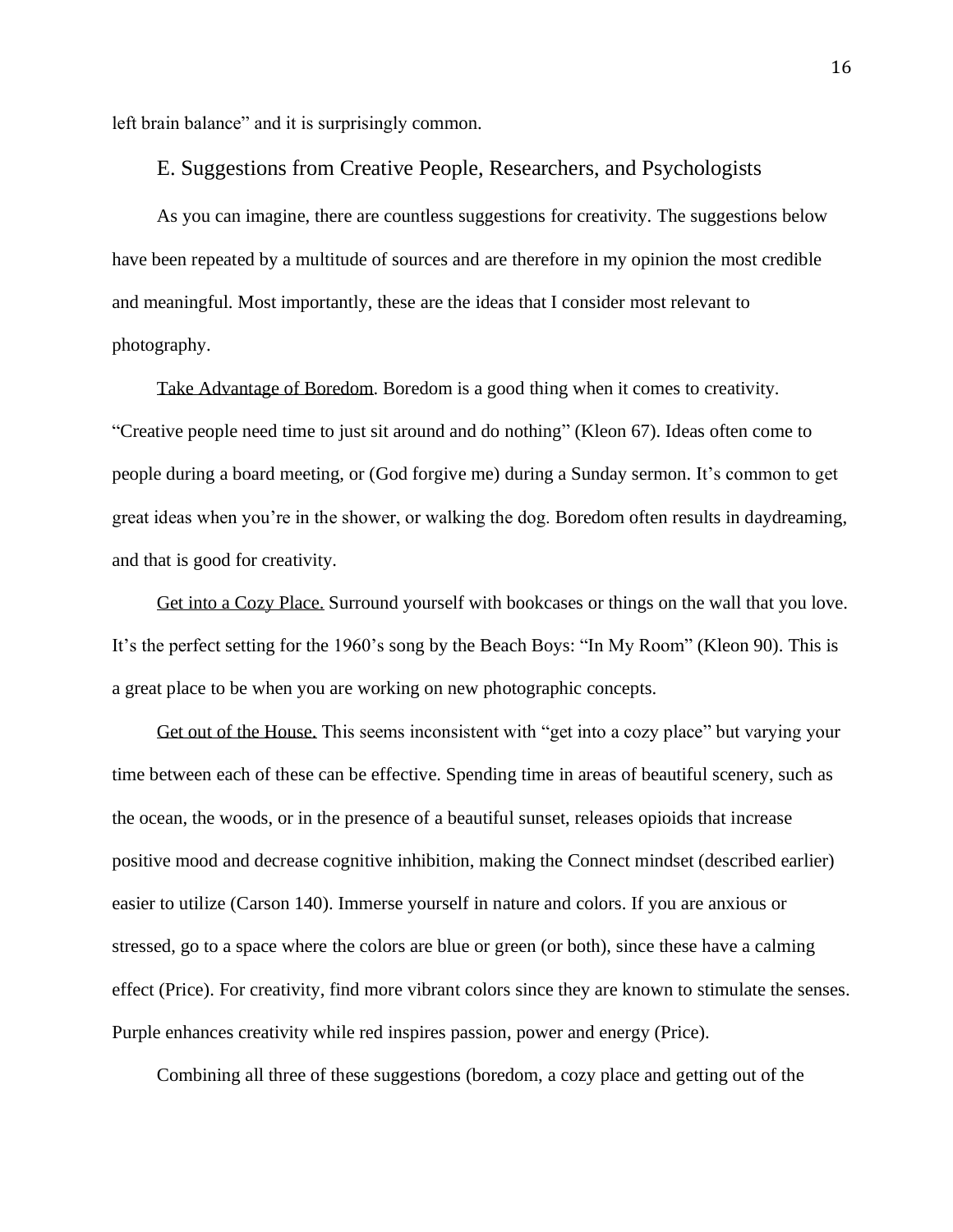left brain balance" and it is surprisingly common.

#### E. Suggestions from Creative People, Researchers, and Psychologists

As you can imagine, there are countless suggestions for creativity. The suggestions below have been repeated by a multitude of sources and are therefore in my opinion the most credible and meaningful. Most importantly, these are the ideas that I consider most relevant to photography.

Take Advantage of Boredom. Boredom is a good thing when it comes to creativity. "Creative people need time to just sit around and do nothing" (Kleon 67). Ideas often come to people during a board meeting, or (God forgive me) during a Sunday sermon. It's common to get great ideas when you're in the shower, or walking the dog. Boredom often results in daydreaming, and that is good for creativity.

Get into a Cozy Place. Surround yourself with bookcases or things on the wall that you love. It's the perfect setting for the 1960's song by the Beach Boys: "In My Room" (Kleon 90). This is a great place to be when you are working on new photographic concepts.

Get out of the House. This seems inconsistent with "get into a cozy place" but varying your time between each of these can be effective. Spending time in areas of beautiful scenery, such as the ocean, the woods, or in the presence of a beautiful sunset, releases opioids that increase positive mood and decrease cognitive inhibition, making the Connect mindset (described earlier) easier to utilize (Carson 140). Immerse yourself in nature and colors. If you are anxious or stressed, go to a space where the colors are blue or green (or both), since these have a calming effect (Price). For creativity, find more vibrant colors since they are known to stimulate the senses. Purple enhances creativity while red inspires passion, power and energy (Price).

Combining all three of these suggestions (boredom, a cozy place and getting out of the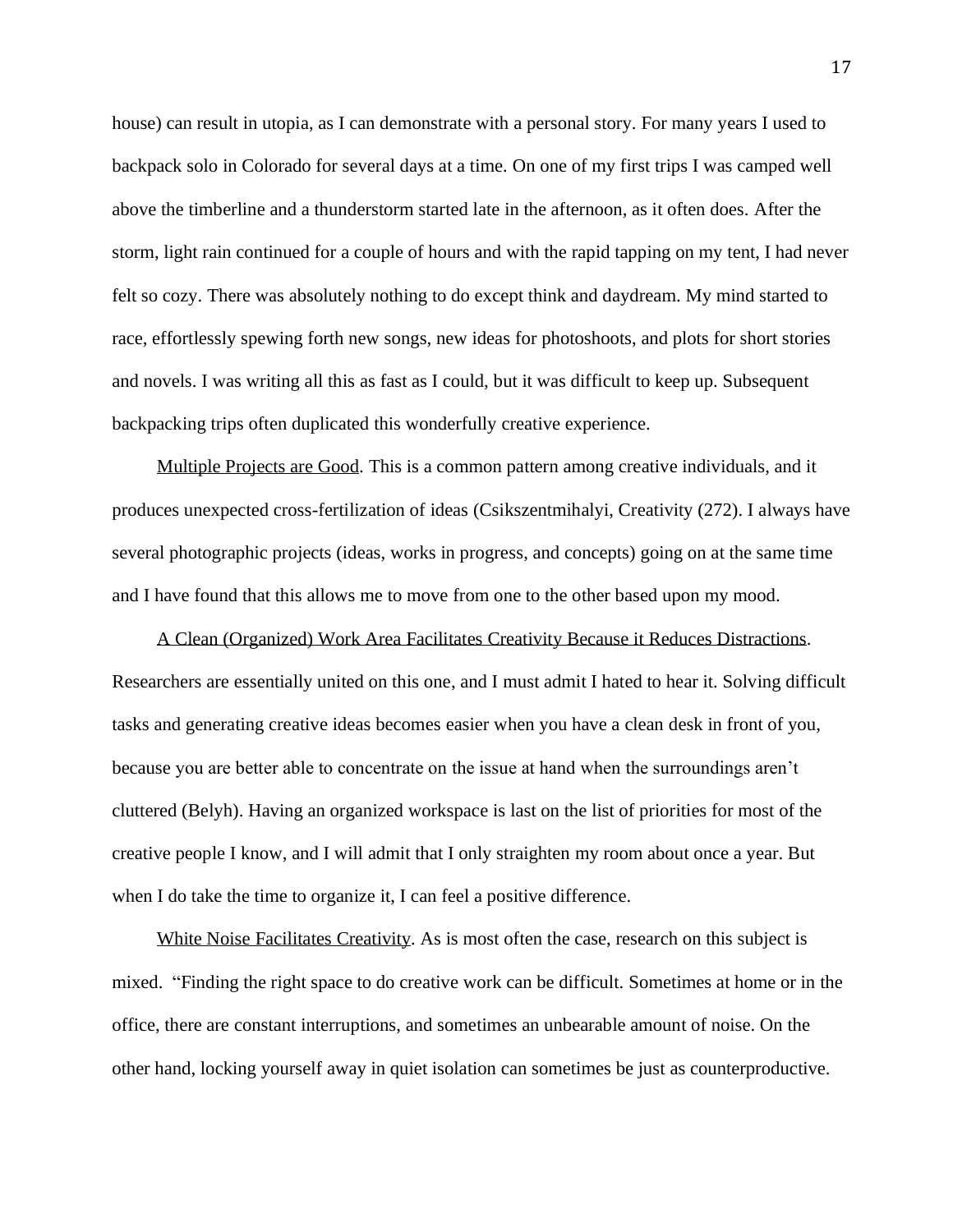house) can result in utopia, as I can demonstrate with a personal story. For many years I used to backpack solo in Colorado for several days at a time. On one of my first trips I was camped well above the timberline and a thunderstorm started late in the afternoon, as it often does. After the storm, light rain continued for a couple of hours and with the rapid tapping on my tent, I had never felt so cozy. There was absolutely nothing to do except think and daydream. My mind started to race, effortlessly spewing forth new songs, new ideas for photoshoots, and plots for short stories and novels. I was writing all this as fast as I could, but it was difficult to keep up. Subsequent backpacking trips often duplicated this wonderfully creative experience.

Multiple Projects are Good. This is a common pattern among creative individuals, and it produces unexpected cross-fertilization of ideas (Csikszentmihalyi, Creativity (272). I always have several photographic projects (ideas, works in progress, and concepts) going on at the same time and I have found that this allows me to move from one to the other based upon my mood.

A Clean (Organized) Work Area Facilitates Creativity Because it Reduces Distractions. Researchers are essentially united on this one, and I must admit I hated to hear it. Solving difficult tasks and generating creative ideas becomes easier when you have a clean desk in front of you, because you are better able to concentrate on the issue at hand when the surroundings aren't cluttered (Belyh). Having an organized workspace is last on the list of priorities for most of the creative people I know, and I will admit that I only straighten my room about once a year. But when I do take the time to organize it, I can feel a positive difference.

White Noise Facilitates Creativity. As is most often the case, research on this subject is mixed. "Finding the right space to do creative work can be difficult. Sometimes at home or in the office, there are constant interruptions, and sometimes an unbearable amount of noise. On the other hand, locking yourself away in quiet isolation can sometimes be just as counterproductive.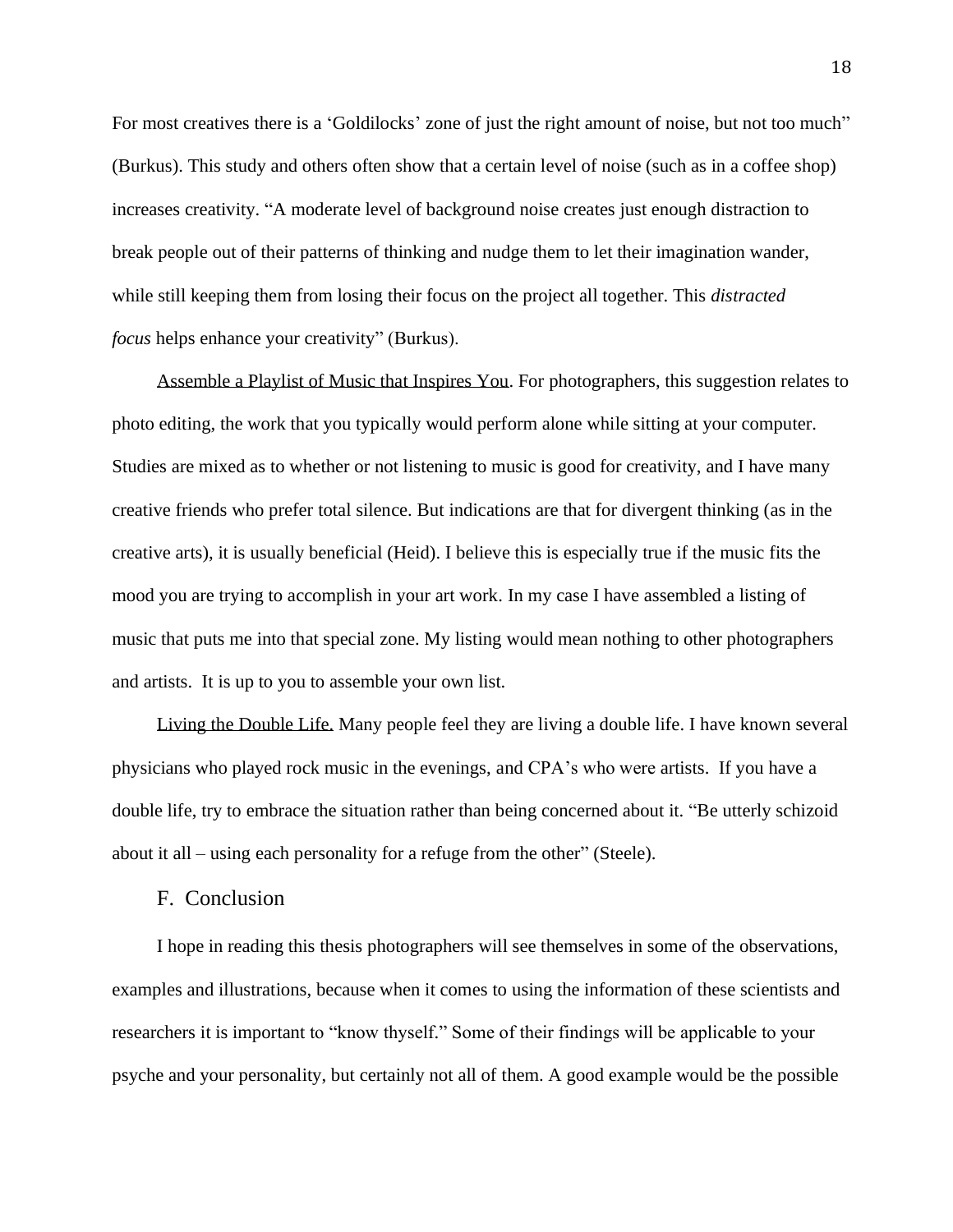For most creatives there is a 'Goldilocks' zone of just the right amount of noise, but not too much" (Burkus). This study and others often show that a certain level of noise (such as in a coffee shop) increases creativity. "A moderate level of background noise creates just enough distraction to break people out of their patterns of thinking and nudge them to let their imagination wander, while still keeping them from losing their focus on the project all together. This *distracted focus* helps enhance your creativity" (Burkus).

Assemble a Playlist of Music that Inspires You. For photographers, this suggestion relates to photo editing, the work that you typically would perform alone while sitting at your computer. Studies are mixed as to whether or not listening to music is good for creativity, and I have many creative friends who prefer total silence. But indications are that for divergent thinking (as in the creative arts), it is usually beneficial (Heid). I believe this is especially true if the music fits the mood you are trying to accomplish in your art work. In my case I have assembled a listing of music that puts me into that special zone. My listing would mean nothing to other photographers and artists. It is up to you to assemble your own list.

Living the Double Life. Many people feel they are living a double life. I have known several physicians who played rock music in the evenings, and CPA's who were artists. If you have a double life, try to embrace the situation rather than being concerned about it. "Be utterly schizoid about it all – using each personality for a refuge from the other" (Steele).

## F. Conclusion

I hope in reading this thesis photographers will see themselves in some of the observations, examples and illustrations, because when it comes to using the information of these scientists and researchers it is important to "know thyself." Some of their findings will be applicable to your psyche and your personality, but certainly not all of them. A good example would be the possible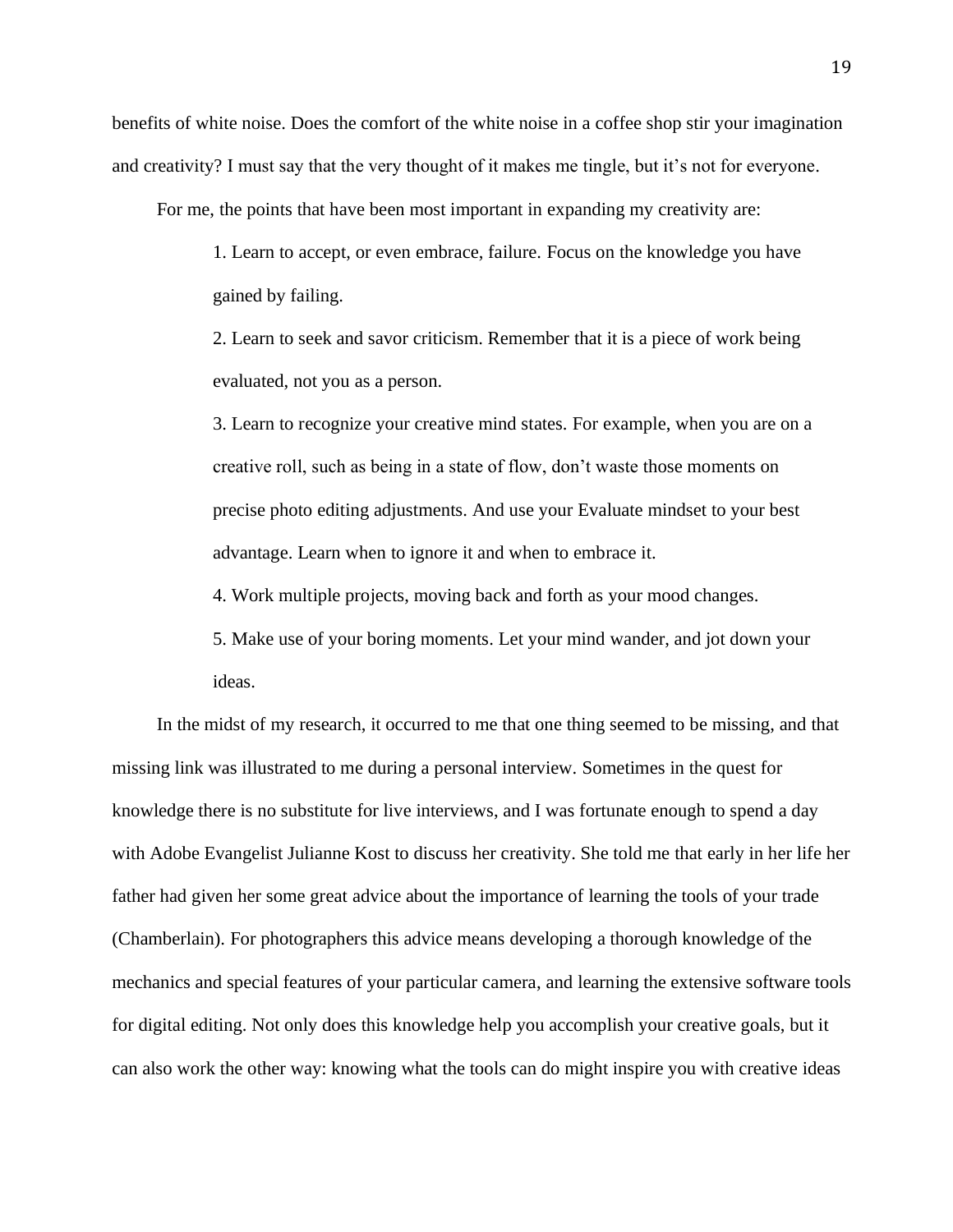benefits of white noise. Does the comfort of the white noise in a coffee shop stir your imagination and creativity? I must say that the very thought of it makes me tingle, but it's not for everyone.

For me, the points that have been most important in expanding my creativity are:

1. Learn to accept, or even embrace, failure. Focus on the knowledge you have gained by failing.

2. Learn to seek and savor criticism. Remember that it is a piece of work being evaluated, not you as a person.

3. Learn to recognize your creative mind states. For example, when you are on a creative roll, such as being in a state of flow, don't waste those moments on precise photo editing adjustments. And use your Evaluate mindset to your best advantage. Learn when to ignore it and when to embrace it.

4. Work multiple projects, moving back and forth as your mood changes.

5. Make use of your boring moments. Let your mind wander, and jot down your ideas.

In the midst of my research, it occurred to me that one thing seemed to be missing, and that missing link was illustrated to me during a personal interview. Sometimes in the quest for knowledge there is no substitute for live interviews, and I was fortunate enough to spend a day with Adobe Evangelist Julianne Kost to discuss her creativity. She told me that early in her life her father had given her some great advice about the importance of learning the tools of your trade (Chamberlain). For photographers this advice means developing a thorough knowledge of the mechanics and special features of your particular camera, and learning the extensive software tools for digital editing. Not only does this knowledge help you accomplish your creative goals, but it can also work the other way: knowing what the tools can do might inspire you with creative ideas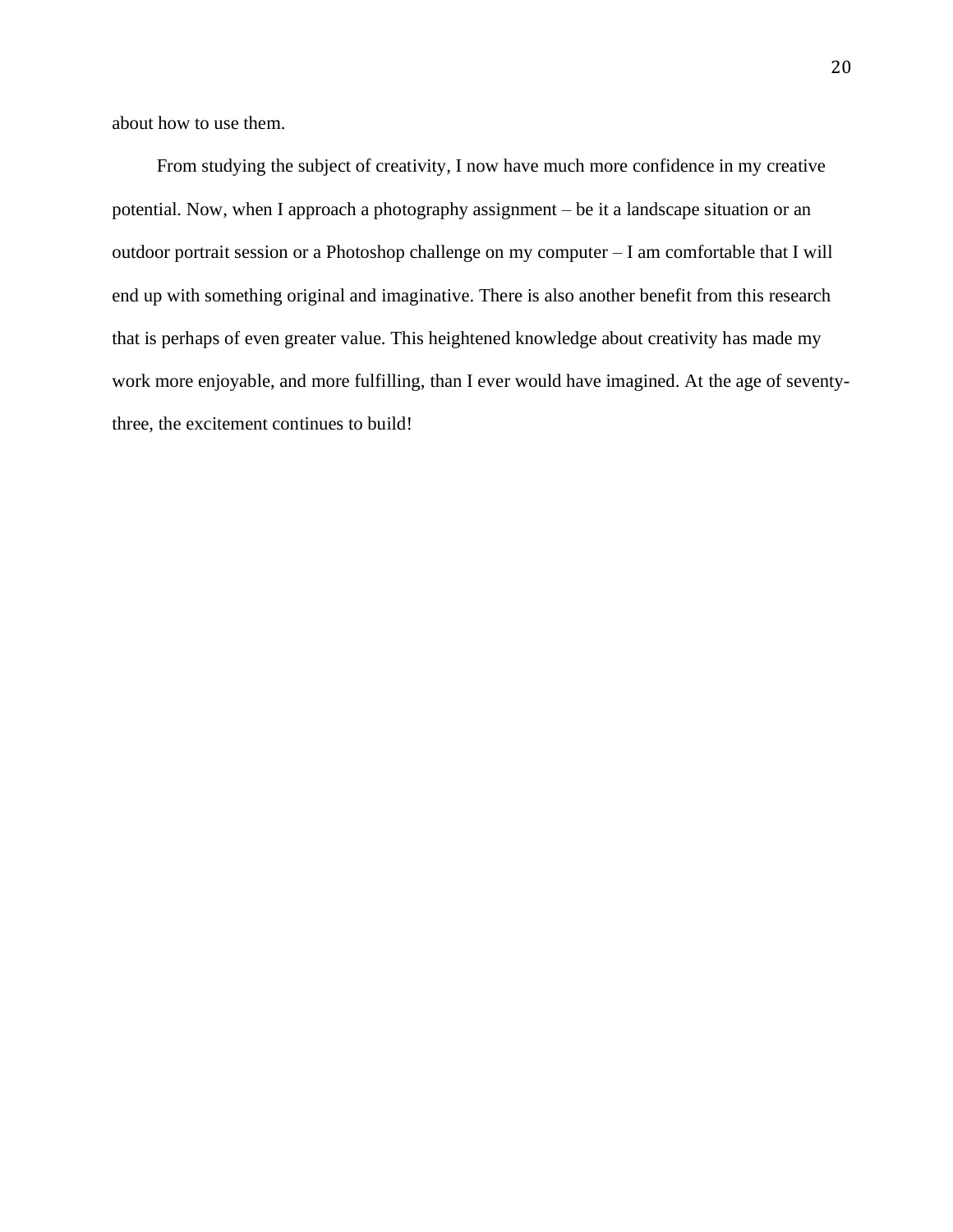about how to use them.

From studying the subject of creativity, I now have much more confidence in my creative potential. Now, when I approach a photography assignment – be it a landscape situation or an outdoor portrait session or a Photoshop challenge on my computer – I am comfortable that I will end up with something original and imaginative. There is also another benefit from this research that is perhaps of even greater value. This heightened knowledge about creativity has made my work more enjoyable, and more fulfilling, than I ever would have imagined. At the age of seventythree, the excitement continues to build!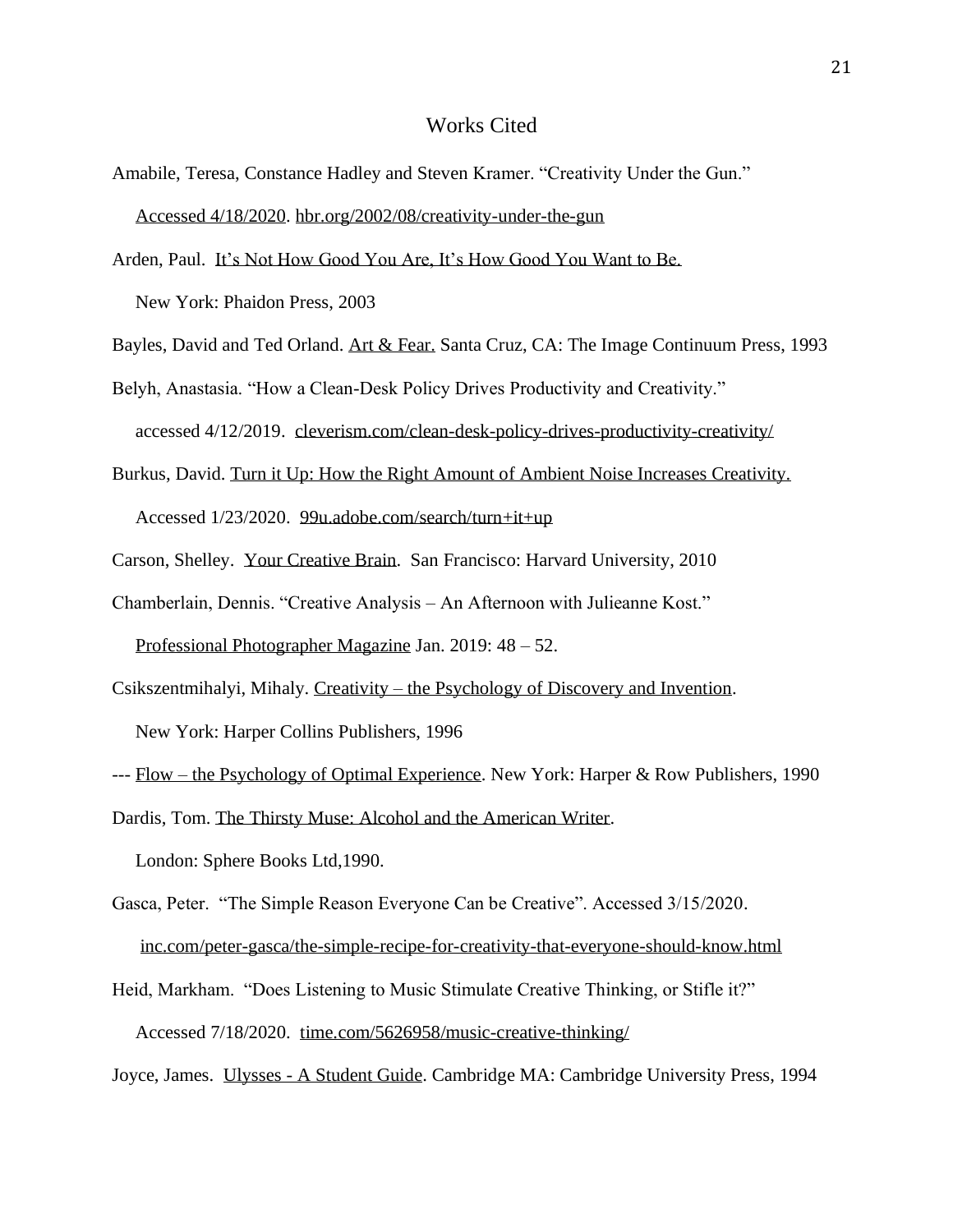#### Works Cited

- Amabile, Teresa, Constance Hadley and Steven Kramer. "Creativity Under the Gun." Accessed 4/18/2020. [hbr.org/2002/08/creativity-under-the-gun](https://hbr.org/2002/08/creativity-under-the-gun)
- Arden, Paul. It's Not How Good You Are, It's How Good You Want to Be.

New York: Phaidon Press, 2003

Bayles, David and Ted Orland. Art & Fear. Santa Cruz, CA: The Image Continuum Press, 1993

Belyh, Anastasia. "How a Clean-Desk Policy Drives Productivity and Creativity." accessed 4/12/2019. [cleverism.com/clean-desk-policy-drives-productivity-creativity/](http://www.cleverism.com/clean-desk-policy-drives-productivity-creativity/)

- Burkus, David. Turn it Up: How the Right Amount of Ambient Noise Increases Creativity. Accessed 1/23/2020. [99u.adobe.com/search/turn+it+up](https://99u.adobe.com/search/turn+it+up)
- Carson, Shelley. Your Creative Brain. San Francisco: Harvard University, 2010
- Chamberlain, Dennis. "Creative Analysis An Afternoon with Julieanne Kost."

Professional Photographer Magazine Jan. 2019: 48 – 52.

Csikszentmihalyi, Mihaly. Creativity – the Psychology of Discovery and Invention. New York: Harper Collins Publishers, 1996

Dardis, Tom. The Thirsty Muse: Alcohol and the American Writer.

London: Sphere Books Ltd,1990.

- Gasca, Peter. "The Simple Reason Everyone Can be Creative". Accessed 3/15/2020. [inc.com/peter-gasca/the-simple-recipe-for-creativity-that-everyone-should-know.html](http://www.inc.com/peter-gasca/the-simple-recipe-for-creativity-that-everyone-should-know.html)
- Heid, Markham. "Does Listening to Music Stimulate Creative Thinking, or Stifle it?" Accessed 7/18/2020. [time.com/5626958/music-creative-thinking/](https://time.com/5626958/music-creative-thinking/)

Joyce, James. Ulysses - A Student Guide. Cambridge MA: Cambridge University Press, 1994

<sup>---</sup> Flow – the Psychology of Optimal Experience. New York: Harper & Row Publishers, 1990